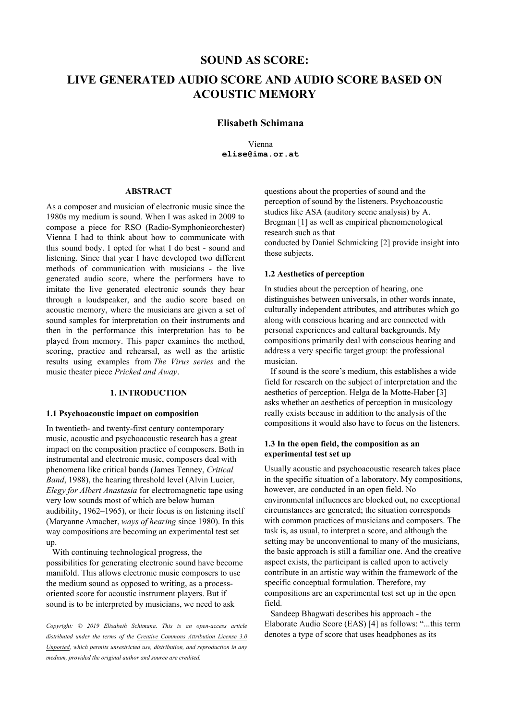# **SOUND AS SCORE: LIVE GENERATED AUDIO SCORE AND AUDIO SCORE BASED ON ACOUSTIC MEMORY**

# **Elisabeth Schimana**

Vienna **elise@ima.or.at**

## **ABSTRACT**

As a composer and musician of electronic music since the 1980s my medium is sound. When I was asked in 2009 to compose a piece for RSO (Radio-Symphonieorchester) Vienna I had to think about how to communicate with this sound body. I opted for what I do best - sound and listening. Since that year I have developed two different methods of communication with musicians - the live generated audio score, where the performers have to imitate the live generated electronic sounds they hear through a loudspeaker, and the audio score based on acoustic memory, where the musicians are given a set of sound samples for interpretation on their instruments and then in the performance this interpretation has to be played from memory. This paper examines the method, scoring, practice and rehearsal, as well as the artistic results using examples from *The Virus series* and the music theater piece *Pricked and Away*.

# **1. INTRODUCTION**

#### **1.1 Psychoacoustic impact on composition**

In twentieth- and twenty-first century contemporary music, acoustic and psychoacoustic research has a great impact on the composition practice of composers. Both in instrumental and electronic music, composers deal with phenomena like critical bands (James Tenney, *Critical Band*, 1988), the hearing threshold level (Alvin Lucier, *Elegy for Albert Anastasia* for electromagnetic tape using very low sounds most of which are below human audibility, 1962–1965), or their focus is on listening itself (Maryanne Amacher, *ways of hearing* since 1980). In this way compositions are becoming an experimental test set up.

With continuing technological progress, the possibilities for generating electronic sound have become manifold. This allows electronic music composers to use the medium sound as opposed to writing, as a processoriented score for acoustic instrument players. But if sound is to be interpreted by musicians, we need to ask

*Copyright: © 2019 Elisabeth S[chimana. This is an open-access article](https://creativecommons.org/licenses/by/3.0/) [distributed under the terms of the Creative Commons Attribution License 3.0](https://creativecommons.org/licenses/by/3.0/)  Unported, which permits unrestricted use, distribution, and reproduction in any medium, provided the original author and source are credited.*

questions about the properties of sound and the perception of sound by the listeners. Psychoacoustic studies like ASA (auditory scene analysis) by A. Bregman [1] as well as empirical phenomenological research such as that conducted by Daniel Schmicking [2] provide insight into these subjects.

#### **1.2 Aesthetics of perception**

In studies about the perception of hearing, one distinguishes between universals, in other words innate, culturally independent attributes, and attributes which go along with conscious hearing and are connected with personal experiences and cultural backgrounds. My compositions primarily deal with conscious hearing and address a very specific target group: the professional musician.

If sound is the score's medium, this establishes a wide field for research on the subject of interpretation and the aesthetics of perception. Helga de la Motte-Haber [3] asks whether an aesthetics of perception in musicology really exists because in addition to the analysis of the compositions it would also have to focus on the listeners.

## **1.3 In the open field, the composition as an experimental test set up**

Usually acoustic and psychoacoustic research takes place in the specific situation of a laboratory. My compositions, however, are conducted in an open field. No environmental influences are blocked out, no exceptional circumstances are generated; the situation corresponds with common practices of musicians and composers. The task is, as usual, to interpret a score, and although the setting may be unconventional to many of the musicians, the basic approach is still a familiar one. And the creative aspect exists, the participant is called upon to actively contribute in an artistic way within the framework of the specific conceptual formulation. Therefore, my compositions are an experimental test set up in the open field.

Sandeep Bhagwati describes his approach - the Elaborate Audio Score (EAS) [4] as follows: "...this term denotes a type of score that uses headphones as its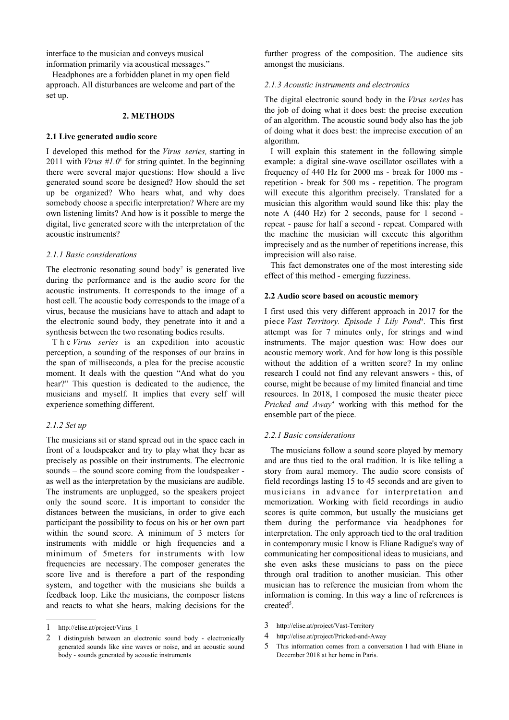interface to the musician and conveys musical information primarily via acoustical messages."

Headphones are a forbidden planet in my open field approach. All disturbances are welcome and part of the set up.

#### **2. METHODS**

#### **2.1 Live generated audio score**

I developed this method for the *Virus series,* starting in 20[1](#page-1-0)1 with *Virus*  $#I.0<sup>1</sup>$  for string quintet. In the beginning there were several major questions: How should a live generated sound score be designed? How should the set up be organized? Who hears what, and why does somebody choose a specific interpretation? Where are my own listening limits? And how is it possible to merge the digital, live generated score with the interpretation of the acoustic instruments?

#### *2.1.1 Basic considerations*

The electronic resonating sound body<sup>[2](#page-1-1)</sup> is generated live during the performance and is the audio score for the acoustic instruments. It corresponds to the image of a host cell. The acoustic body corresponds to the image of a virus, because the musicians have to attach and adapt to the electronic sound body, they penetrate into it and a synthesis between the two resonating bodies results.

T h e *Virus series* is an expedition into acoustic perception, a sounding of the responses of our brains in the span of milliseconds, a plea for the precise acoustic moment. It deals with the question "And what do you hear?" This question is dedicated to the audience, the musicians and myself. It implies that every self will experience something different.

#### *2.1.2 Set up*

The musicians sit or stand spread out in the space each in front of a loudspeaker and try to play what they hear as precisely as possible on their instruments. The electronic sounds – the sound score coming from the loudspeaker as well as the interpretation by the musicians are audible. The instruments are unplugged, so the speakers project only the sound score. It is important to consider the distances between the musicians, in order to give each participant the possibility to focus on his or her own part within the sound score. A minimum of 3 meters for instruments with middle or high frequencies and a minimum of 5meters for instruments with low frequencies are necessary. The composer generates the score live and is therefore a part of the responding system, and together with the musicians she builds a feedback loop. Like the musicians, the composer listens and reacts to what she hears, making decisions for the

further progress of the composition. The audience sits amongst the musicians.

#### *2.1.3 Acoustic instruments and electronics*

The digital electronic sound body in the *Virus series* has the job of doing what it does best: the precise execution of an algorithm. The acoustic sound body also has the job of doing what it does best: the imprecise execution of an algorithm.

I will explain this statement in the following simple example: a digital sine-wave oscillator oscillates with a frequency of 440 Hz for 2000 ms - break for 1000 ms repetition - break for 500 ms - repetition. The program will execute this algorithm precisely. Translated for a musician this algorithm would sound like this: play the note A (440 Hz) for 2 seconds, pause for 1 second repeat - pause for half a second - repeat. Compared with the machine the musician will execute this algorithm imprecisely and as the number of repetitions increase, this imprecision will also raise.

This fact demonstrates one of the most interesting side effect of this method - emerging fuzziness.

## **2.2 Audio score based on acoustic memory**

I first used this very different approach in 2017 for the piece *Vast Territory. Episode 1 Lily Pond[3](#page-1-2)* . This first attempt was for 7 minutes only, for strings and wind instruments. The major question was: How does our acoustic memory work. And for how long is this possible without the addition of a written score? In my online research I could not find any relevant answers - this, of course, might be because of my limited financial and time resources. In 2018, I composed the music theater piece *Pricked and Away[4](#page-1-3)* working with this method for the ensemble part of the piece.

## *2.2.1 Basic considerations*

The musicians follow a sound score played by memory and are thus tied to the oral tradition. It is like telling a story from aural memory. The audio score consists of field recordings lasting 15 to 45 seconds and are given to musicians in advance for interpretation and memorization. Working with field recordings in audio scores is quite common, but usually the musicians get them during the performance via headphones for interpretation. The only approach tied to the oral tradition in contemporary music I know is Eliane Radigue's way of communicating her compositional ideas to musicians, and she even asks these musicians to pass on the piece through oral tradition to another musician. This other musician has to reference the musician from whom the information is coming. In this way a line of references is created<sup>[5](#page-1-4)</sup>.

<span id="page-1-0"></span><sup>1</sup> http://elise.at/project/Virus\_1

<span id="page-1-1"></span><sup>2</sup> I distinguish between an electronic sound body - electronically generated sounds like sine waves or noise, and an acoustic sound body - sounds generated by acoustic instruments

<span id="page-1-2"></span><sup>3</sup> http://elise.at/project/Vast-Territory

<span id="page-1-3"></span><sup>4</sup> http://elise.at/project/Pricked-and-Away

<span id="page-1-4"></span><sup>5</sup> This information comes from a conversation I had with Eliane in December 2018 at her home in Paris.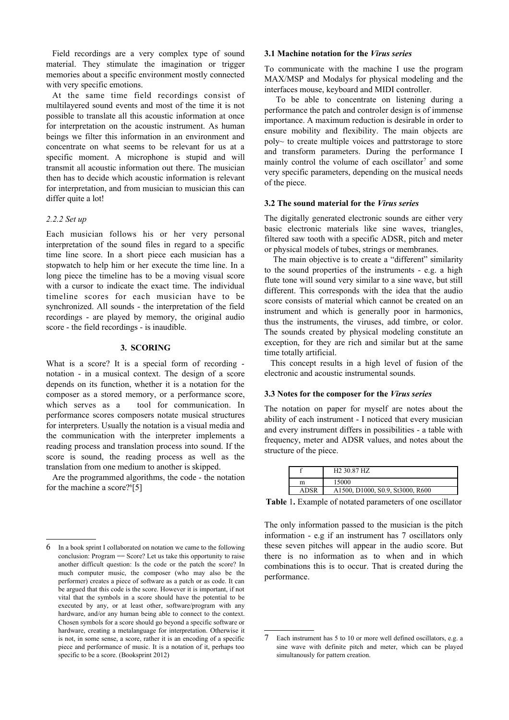Field recordings are a very complex type of sound material. They stimulate the imagination or trigger memories about a specific environment mostly connected with very specific emotions.

At the same time field recordings consist of multilayered sound events and most of the time it is not possible to translate all this acoustic information at once for interpretation on the acoustic instrument. As human beings we filter this information in an environment and concentrate on what seems to be relevant for us at a specific moment. A microphone is stupid and will transmit all acoustic information out there. The musician then has to decide which acoustic information is relevant for interpretation, and from musician to musician this can differ quite a lot!

## *2.2.2 Set up*

Each musician follows his or her very personal interpretation of the sound files in regard to a specific time line score. In a short piece each musician has a stopwatch to help him or her execute the time line. In a long piece the timeline has to be a moving visual score with a cursor to indicate the exact time. The individual timeline scores for each musician have to be synchronized. All sounds - the interpretation of the field recordings - are played by memory, the original audio score - the field recordings - is inaudible.

#### **3. SCORING**

What is a score? It is a special form of recording notation - in a musical context. The design of a score depends on its function, whether it is a notation for the composer as a stored memory, or a performance score, which serves as a tool for communication. In performance scores composers notate musical structures for interpreters. Usually the notation is a visual media and the communication with the interpreter implements a reading process and translation process into sound. If the score is sound, the reading process as well as the translation from one medium to another is skipped.

Are the programmed algorithms, the code - the notation for the machine a score?<sup>[6](#page-2-0)</sup>[5]

## **3.1 Machine notation for the** *Virus series*

To communicate with the machine I use the program MAX/MSP and Modalys for physical modeling and the interfaces mouse, keyboard and MIDI controller.

 To be able to concentrate on listening during a performance the patch and controler design is of immense importance. A maximum reduction is desirable in order to ensure mobility and flexibility. The main objects are poly~ to create multiple voices and pattrstorage to store and transform parameters. During the performance I mainly control the volume of each oscillator<sup>[7](#page-2-1)</sup> and some very specific parameters, depending on the musical needs of the piece.

## **3.2 The sound material for the** *Virus series*

The digitally generated electronic sounds are either very basic electronic materials like sine waves, triangles, filtered saw tooth with a specific ADSR, pitch and meter or physical models of tubes, strings or membranes.

The main objective is to create a "different" similarity to the sound properties of the instruments - e.g. a high flute tone will sound very similar to a sine wave, but still different. This corresponds with the idea that the audio score consists of material which cannot be created on an instrument and which is generally poor in harmonics, thus the instruments, the viruses, add timbre, or color. The sounds created by physical modeling constitute an exception, for they are rich and similar but at the same time totally artificial.

This concept results in a high level of fusion of the electronic and acoustic instrumental sounds.

## **3.3 Notes for the composer for the** *Virus series*

The notation on paper for myself are notes about the ability of each instrument - I noticed that every musician and every instrument differs in possibilities - a table with frequency, meter and ADSR values, and notes about the structure of the piece.

|   | H <sub>2</sub> 30.87 H <sub>Z</sub> |
|---|-------------------------------------|
| m | 15000                               |
|   | A1500, D1000, S0.9, St3000, R600    |

**Table** 1**.** Example of notated parameters of one oscillator

The only information passed to the musician is the pitch information - e.g if an instrument has 7 oscillators only these seven pitches will appear in the audio score. But there is no information as to when and in which combinations this is to occur. That is created during the performance.

<span id="page-2-0"></span><sup>6</sup> In a book sprint I collaborated on notation we came to the following conclusion: Program == Score? Let us take this opportunity to raise another difficult question: Is the code or the patch the score? In much computer music, the composer (who may also be the performer) creates a piece of software as a patch or as code. It can be argued that this code is the score. However it is important, if not vital that the symbols in a score should have the potential to be executed by any, or at least other, software/program with any hardware, and/or any human being able to connect to the context. Chosen symbols for a score should go beyond a specific software or hardware, creating a metalanguage for interpretation. Otherwise it is not, in some sense, a score, rather it is an encoding of a specific piece and performance of music. It is a notation of it, perhaps too specific to be a score. (Booksprint 2012)

<span id="page-2-1"></span>Each instrument has 5 to 10 or more well defined oscillators, e.g. a sine wave with definite pitch and meter, which can be played simultanously for pattern creation.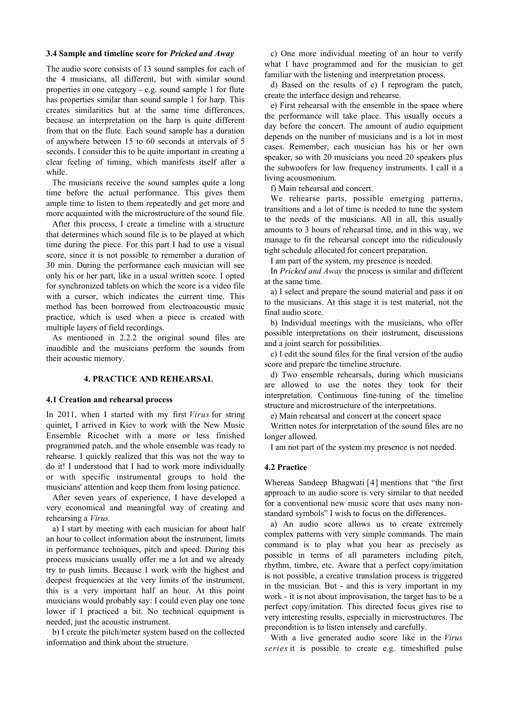## **3.4 Sample and timeline score for** *Pricked and Away*

The audio score consists of 13 sound samples for each of the 4 musicians, all different, but with similar sound properties in one category - e.g. sound sample 1 for flute has properties similar than sound sample 1 for harp. This creates similarities but at the same time differences, because an interpretation on the harp is quite different from that on the flute. Each sound sample has a duration of anywhere between 15 to 60 seconds at intervals of 5 seconds. I consider this to be quite important in creating a clear feeling of timing, which manifests itself after a while.

The musicians receive the sound samples quite a long time before the actual performance. This gives them ample time to listen to them repeatedly and get more and more acquainted with the microstructure of the sound file.

After this process, I create a timeline with a structure that determines which sound file is to be played at which time during the piece. For this part I had to use a visual score, since it is not possible to remember a duration of 30 min. During the performance each musician will see only his or her part, like in a usual written score. I opted for synchronized tablets on which the score is a video file with a cursor, which indicates the current time. This method has been borrowed from electroacoustic music practice, which is used when a piece is created with multiple layers of field recordings.

As mentioned in 2.2.2 the original sound files are inaudible and the musicians perform the sounds from their acoustic memory.

## **4. PRACTICE AND REHEARSAL**

#### **4.1 Creation and rehearsal process**

In 2011, when I started with my first *Virus* for string quintet, I arrived in Kiev to work with the New Music Ensemble Ricochet with a more or less finished programmed patch, and the whole ensemble was ready to rehearse. I quickly realized that this was not the way to do it! I understood that I had to work more individually or with specific instrumental groups to hold the musicians' attention and keep them from losing patience.

After seven years of experience, I have developed a very economical and meaningful way of creating and rehearsing a *Virus.*

a) I start by meeting with each musician for about half an hour to collect information about the instrument, limits in performance techniques, pitch and speed. During this process musicians usually offer me a lot and we already try to push limits. Because I work with the highest and deepest frequencies at the very limits of the instrument, this is a very important half an hour. At this point musicians would probably say: I could even play one tone lower if I practiced a bit. No technical equipment is needed, just the acoustic instrument.

b) I create the pitch/meter system based on the collected information and think about the structure.

c) One more individual meeting of an hour to verify what I have programmed and for the musician to get familiar with the listening and interpretation process.

d) Based on the results of c) I reprogram the patch, create the interface design and rehearse.

e) First rehearsal with the ensemble in the space where the performance will take place. This usually occurs a day before the concert. The amount of audio equipment depends on the number of musicians and is a lot in most cases. Remember, each musician has his or her own speaker, so with 20 musicians you need 20 speakers plus the subwoofers for low frequency instruments. I call it a living acousmonium.

f) Main rehearsal and concert.

We rehearse parts, possible emerging patterns, transitions and a lot of time is needed to tune the system to the needs of the musicians. All in all, this usually amounts to 3 hours of rehearsal time, and in this way, we manage to fit the rehearsal concept into the ridiculously tight schedule allocated for concert preparation.

I am part of the system, my presence is needed.

In *Pricked and Away* the process is similar and different at the same time.

a) I select and prepare the sound material and pass it on to the musicians. At this stage it is test material, not the final audio score.

b) Individual meetings with the musicians, who offer possible interpretations on their instrument, discussions and a joint search for possibilities.

c) I edit the sound files for the final version of the audio score and prepare the timeline structure.

d) Two ensemble rehearsals, during which musicians are allowed to use the notes they took for their interpretation. Continuous fine-tuning of the timeline structure and microstructure of the interpretations.

e) Main rehearsal and concert at the concert space

Written notes for interpretation of the sound files are no longer allowed.

I am not part of the system my presence is not needed.

## **4.2 Practice**

Whereas Sandeep Bhagwati [4] mentions that "the first approach to an audio score is very similar to that needed for a conventional new music score that uses many nonstandard symbols" I wish to focus on the differences.

a) An audio score allows us to create extremely complex patterns with very simple commands. The main command is to play what you hear as precisely as possible in terms of all parameters including pitch, rhythm, timbre, etc. Aware that a perfect copy/imitation is not possible, a creative translation process is triggered in the musician. But - and this is very important in my work - it is not about improvisation, the target has to be a perfect copy/imitation. This directed focus gives rise to very interesting results, especially in microstructures. The precondition is to listen intensely and carefully.

With a live generated audio score like in the *Virus series* it is possible to create e.g. timeshifted pulse